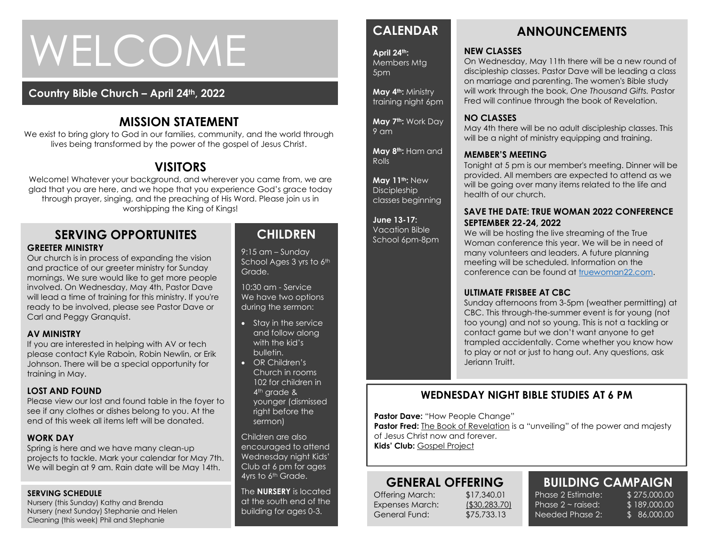# WELCOME

### **Country Bible Church – April 24th, 2022**

## **MISSION STATEMENT**

We exist to bring glory to God in our families, community, and the world through lives being transformed by the power of the gospel of Jesus Christ.

## **VISITORS**

Welcome! Whatever your background, and wherever you came from, we are glad that you are here, and we hope that you experience God's grace today through prayer, singing, and the preaching of His Word. Please join us in worshipping the King of Kings!

#### **SERVING OPPORTUNITES GREETER MINISTRY**

Our church is in process of expanding the vision and practice of our greeter ministry for Sunday mornings. We sure would like to get more people involved. On Wednesday, May 4th, Pastor Dave will lead a time of training for this ministry. If you're ready to be involved, please see Pastor Dave or Carl and Peggy Granquist.

#### **AV MINISTRY**

If you are interested in helping with AV or tech please contact Kyle Raboin, Robin Newlin, or Erik Johnson. There will be a special opportunity for training in May.

#### **LOST AND FOUND**

Please view our lost and found table in the foyer to see if any clothes or dishes belong to you. At the end of this week all items left will be donated.

#### **WORK DAY**

Spring is here and we have many clean-up projects to tackle. Mark your calendar for May 7th. We will begin at 9 am. Rain date will be May 14th.

#### **SERVING SCHEDULE**

Nursery (this Sunday) Kathy and Brenda Nursery (next Sunday) Stephanie and Helen Cleaning (this week) Phil and Stephanie

## **CHILDREN**

9:15 am – Sunday School Ages 3 yrs to 6th Grade.

10:30 am - Service We have two options during the sermon:

- Stay in the service and follow along with the kid's bulletin.
- OR Children's Church in rooms 102 for children in 4<sup>th</sup> grade & younger (dismissed right before the sermon)

Children are also encouraged to attend Wednesday night Kids' Club at 6 pm for ages 4yrs to 6<sup>th</sup> Grade.

The **NURSERY** is located at the south end of the building for ages 0-3.

## **CALENDAR**

**April 24th:**  Members Mtg 5pm

**May 4th:** Ministry training night 6pm

**May 7th:** Work Day 9 am

**May 8th:** Ham and Rolls

**May 11th:** New **Discipleship** classes beginning

**June 13-17:**  Vacation Bible School 6pm-8pm

## **ANNOUNCEMENTS**

#### **NEW CLASSES**

On Wednesday, May 11th there will be a new round of discipleship classes. Pastor Dave will be leading a class on marriage and parenting. The women's Bible study will work through the book, *One Thousand Gifts.* Pastor Fred will continue through the book of Revelation.

#### **NO CLASSES**

May 4th there will be no adult discipleship classes. This will be a night of ministry equipping and training.

#### **MEMBER'S MEETING**

Tonight at 5 pm is our member's meeting. Dinner will be provided. All members are expected to attend as we will be going over many items related to the life and health of our church.

#### **SAVE THE DATE: TRUE WOMAN 2022 CONFERENCE SEPTEMBER 22-24, 2022**

We will be hosting the live streaming of the True Woman conference this year. We will be in need of many volunteers and leaders. A future planning meeting will be scheduled. Information on the conference can be found at [truewoman22.com.](http://truewoman22.com/)

#### **ULTIMATE FRISBEE AT CBC**

Sunday afternoons from 3-5pm (weather permitting) at CBC. This through-the-summer event is for young (not too young) and not so young. This is not a tackling or contact game but we don't want anyone to get trampled accidentally. Come whether you know how to play or not or just to hang out. Any questions, ask Jeriann Truitt.

#### **WEDNESDAY NIGHT BIBLE STUDIES AT 6 PM**

**Pastor Dave: "How People Change"** 

**Pastor Fred:** The Book of Revelation is a "unveiling" of the power and majesty of Jesus Christ now and forever. **Kids' Club:** Gospel Project

## **GENERAL OFFERING**

Offering March: \$17,340.01 Expenses March: (\$30,283.70) General Fund: \$75,733.13

Phase  $2 \sim$  raised: Needed Phase 2:

**BUILDING CAMPAIGN** Phase 2 Estimate: \$275,000.00 \$ 189,000.00 \$ 86,000.00